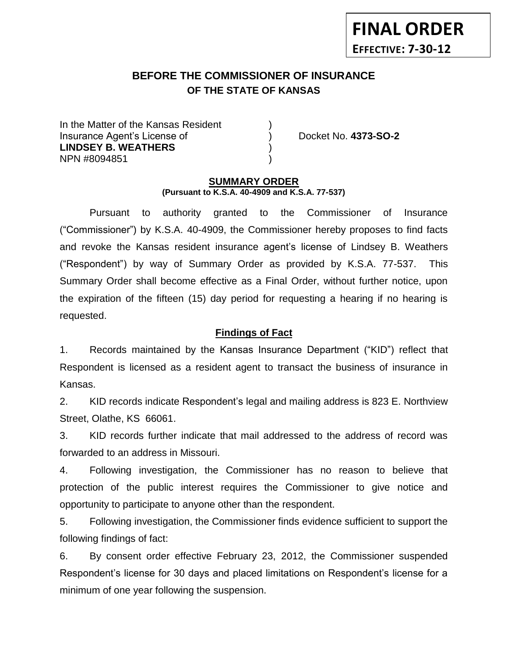# **BEFORE THE COMMISSIONER OF INSURANCE OF THE STATE OF KANSAS**

In the Matter of the Kansas Resident Insurance Agent's License of ) Docket No. **4373-SO-2 LINDSEY B. WEATHERS** ) NPN #8094851 )

**FINAL ORDER**

**EFFECTIVE: 7-30-12**

#### **SUMMARY ORDER (Pursuant to K.S.A. 40-4909 and K.S.A. 77-537)**

Pursuant to authority granted to the Commissioner of Insurance ("Commissioner") by K.S.A. 40-4909, the Commissioner hereby proposes to find facts and revoke the Kansas resident insurance agent's license of Lindsey B. Weathers ("Respondent") by way of Summary Order as provided by K.S.A. 77-537. This Summary Order shall become effective as a Final Order, without further notice, upon the expiration of the fifteen (15) day period for requesting a hearing if no hearing is requested.

#### **Findings of Fact**

1. Records maintained by the Kansas Insurance Department ("KID") reflect that Respondent is licensed as a resident agent to transact the business of insurance in Kansas.

2. KID records indicate Respondent's legal and mailing address is 823 E. Northview Street, Olathe, KS 66061.

3. KID records further indicate that mail addressed to the address of record was forwarded to an address in Missouri.

4. Following investigation, the Commissioner has no reason to believe that protection of the public interest requires the Commissioner to give notice and opportunity to participate to anyone other than the respondent.

5. Following investigation, the Commissioner finds evidence sufficient to support the following findings of fact:

6. By consent order effective February 23, 2012, the Commissioner suspended Respondent's license for 30 days and placed limitations on Respondent's license for a minimum of one year following the suspension.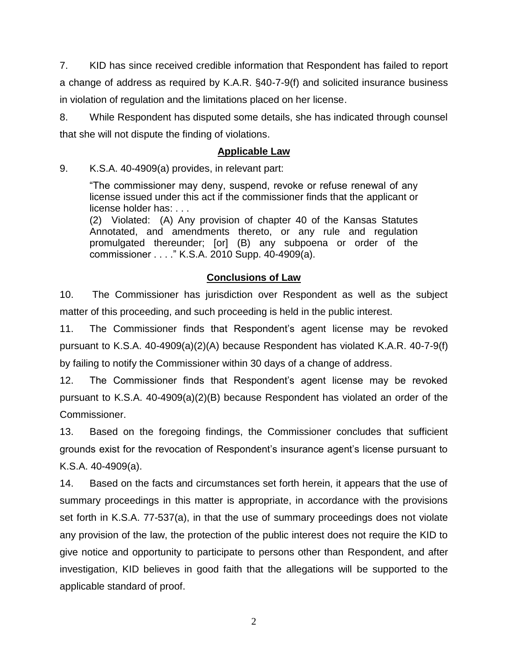7. KID has since received credible information that Respondent has failed to report a change of address as required by K.A.R. §40-7-9(f) and solicited insurance business in violation of regulation and the limitations placed on her license.

8. While Respondent has disputed some details, she has indicated through counsel that she will not dispute the finding of violations.

### **Applicable Law**

9. K.S.A. 40-4909(a) provides, in relevant part:

"The commissioner may deny, suspend, revoke or refuse renewal of any license issued under this act if the commissioner finds that the applicant or license holder has: . . .

(2) Violated: (A) Any provision of chapter 40 of the Kansas Statutes Annotated, and amendments thereto, or any rule and regulation promulgated thereunder; [or] (B) any subpoena or order of the commissioner . . . ." K.S.A. 2010 Supp. 40-4909(a).

## **Conclusions of Law**

10. The Commissioner has jurisdiction over Respondent as well as the subject matter of this proceeding, and such proceeding is held in the public interest.

11. The Commissioner finds that Respondent's agent license may be revoked pursuant to K.S.A. 40-4909(a)(2)(A) because Respondent has violated K.A.R. 40-7-9(f) by failing to notify the Commissioner within 30 days of a change of address.

12. The Commissioner finds that Respondent's agent license may be revoked pursuant to K.S.A. 40-4909(a)(2)(B) because Respondent has violated an order of the Commissioner.

13. Based on the foregoing findings, the Commissioner concludes that sufficient grounds exist for the revocation of Respondent's insurance agent's license pursuant to K.S.A. 40-4909(a).

14. Based on the facts and circumstances set forth herein, it appears that the use of summary proceedings in this matter is appropriate, in accordance with the provisions set forth in K.S.A. 77-537(a), in that the use of summary proceedings does not violate any provision of the law, the protection of the public interest does not require the KID to give notice and opportunity to participate to persons other than Respondent, and after investigation, KID believes in good faith that the allegations will be supported to the applicable standard of proof.

2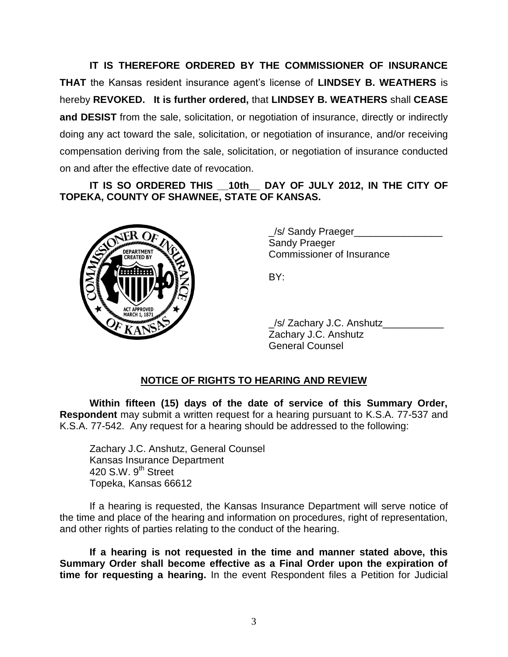**IT IS THEREFORE ORDERED BY THE COMMISSIONER OF INSURANCE THAT** the Kansas resident insurance agent's license of **LINDSEY B. WEATHERS** is hereby **REVOKED. It is further ordered,** that **LINDSEY B. WEATHERS** shall **CEASE and DESIST** from the sale, solicitation, or negotiation of insurance, directly or indirectly doing any act toward the sale, solicitation, or negotiation of insurance, and/or receiving compensation deriving from the sale, solicitation, or negotiation of insurance conducted on and after the effective date of revocation.

**IT IS SO ORDERED THIS \_\_10th\_\_ DAY OF JULY 2012, IN THE CITY OF TOPEKA, COUNTY OF SHAWNEE, STATE OF KANSAS.**



\_/s/ Sandy Praeger\_\_\_\_\_\_\_\_\_\_\_\_\_\_\_\_ Sandy Praeger Commissioner of Insurance

BY:

\_/s/ Zachary J.C. Anshutz\_\_\_\_\_\_\_\_\_\_\_ Zachary J.C. Anshutz General Counsel

### **NOTICE OF RIGHTS TO HEARING AND REVIEW**

**Within fifteen (15) days of the date of service of this Summary Order, Respondent** may submit a written request for a hearing pursuant to K.S.A. 77-537 and K.S.A. 77-542. Any request for a hearing should be addressed to the following:

Zachary J.C. Anshutz, General Counsel Kansas Insurance Department 420 S.W.  $9<sup>th</sup>$  Street Topeka, Kansas 66612

If a hearing is requested, the Kansas Insurance Department will serve notice of the time and place of the hearing and information on procedures, right of representation, and other rights of parties relating to the conduct of the hearing.

**If a hearing is not requested in the time and manner stated above, this Summary Order shall become effective as a Final Order upon the expiration of time for requesting a hearing.** In the event Respondent files a Petition for Judicial